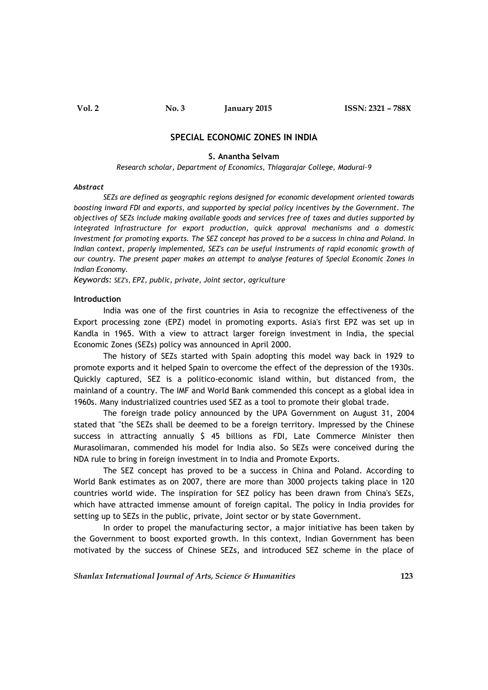# **SPECIAL ECONOMIC ZONES IN INDIA**

#### **S. Anantha Selvam**

*Research scholar, Department of Economics, Thiagarajar College, Madurai-9*

#### *Abstract*

*SEZs are defined as geographic regions designed for economic development oriented towards boosting inward FDI and exports, and supported by special policy incentives by the Government. The objectives of SEZs include making available goods and services free of taxes and duties supported by integrated Infrastructure for export production, quick approval mechanisms and a domestic Investment for promoting exports. The SEZ concept has proved to be a success in china and Poland. In Indian context, properly implemented, SEZ's can be useful instruments of rapid economic growth of our country. The present paper makes an attempt to analyse features of Special Economic Zones in Indian Economy.*

*Keywords: SEZ's, EPZ, public, private, Joint sector, agriculture*

#### **Introduction**

India was one of the first countries in Asia to recognize the effectiveness of the Export processing zone (EPZ) model in promoting exports. Asia's first EPZ was set up in Kandla in 1965. With a view to attract larger foreign investment in India, the special Economic Zones (SEZs) policy was announced in April 2000.

The history of SEZs started with Spain adopting this model way back in 1929 to promote exports and it helped Spain to overcome the effect of the depression of the 1930s. Quickly captured, SEZ is a politico-economic island within, but distanced from, the mainland of a country. The IMF and World Bank commended this concept as a global idea in 1960s. Many industrialized countries used SEZ as a tool to promote their global trade.

The foreign trade policy announced by the UPA Government on August 31, 2004 stated that "the SEZs shall be deemed to be a foreign territory. Impressed by the Chinese success in attracting annually \$ 45 billions as FDI, Late Commerce Minister then Murasolimaran, commended his model for India also. So SEZs were conceived during the NDA rule to bring in foreign investment in to India and Promote Exports.

The SEZ concept has proved to be a success in China and Poland. According to World Bank estimates as on 2007, there are more than 3000 projects taking place in 120 countries world wide. The inspiration for SEZ policy has been drawn from China's SEZs, which have attracted immense amount of foreign capital. The policy in India provides for setting up to SEZs in the public, private, Joint sector or by state Government.

In order to propel the manufacturing sector, a major initiative has been taken by the Government to boost exported growth. In this context, Indian Government has been motivated by the success of Chinese SEZs, and introduced SEZ scheme in the place of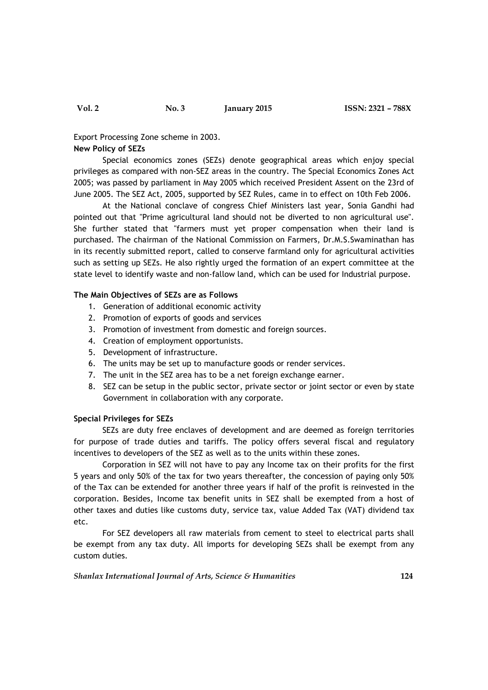Export Processing Zone scheme in 2003.

# **New Policy of SEZs**

Special economics zones (SEZs) denote geographical areas which enjoy special privileges as compared with non-SEZ areas in the country. The Special Economics Zones Act 2005; was passed by parliament in May 2005 which received President Assent on the 23rd of June 2005. The SEZ Act, 2005, supported by SEZ Rules, came in to effect on 10th Feb 2006.

At the National conclave of congress Chief Ministers last year, Sonia Gandhi had pointed out that "Prime agricultural land should not be diverted to non agricultural use". She further stated that "farmers must yet proper compensation when their land is purchased. The chairman of the National Commission on Farmers, Dr.M.S.Swaminathan has in its recently submitted report, called to conserve farmland only for agricultural activities such as setting up SEZs. He also rightly urged the formation of an expert committee at the state level to identify waste and non-fallow land, which can be used for Industrial purpose.

## **The Main Objectives of SEZs are as Follows**

- 1. Generation of additional economic activity
- 2. Promotion of exports of goods and services
- 3. Promotion of investment from domestic and foreign sources.
- 4. Creation of employment opportunists.
- 5. Development of infrastructure.
- 6. The units may be set up to manufacture goods or render services.
- 7. The unit in the SEZ area has to be a net foreign exchange earner.
- 8. SEZ can be setup in the public sector, private sector or joint sector or even by state Government in collaboration with any corporate.

#### **Special Privileges for SEZs**

SEZs are duty free enclaves of development and are deemed as foreign territories for purpose of trade duties and tariffs. The policy offers several fiscal and regulatory incentives to developers of the SEZ as well as to the units within these zones.

Corporation in SEZ will not have to pay any Income tax on their profits for the first 5 years and only 50% of the tax for two years thereafter, the concession of paying only 50% of the Tax can be extended for another three years if half of the profit is reinvested in the corporation. Besides, Income tax benefit units in SEZ shall be exempted from a host of other taxes and duties like customs duty, service tax, value Added Tax (VAT) dividend tax etc.

For SEZ developers all raw materials from cement to steel to electrical parts shall be exempt from any tax duty. All imports for developing SEZs shall be exempt from any custom duties.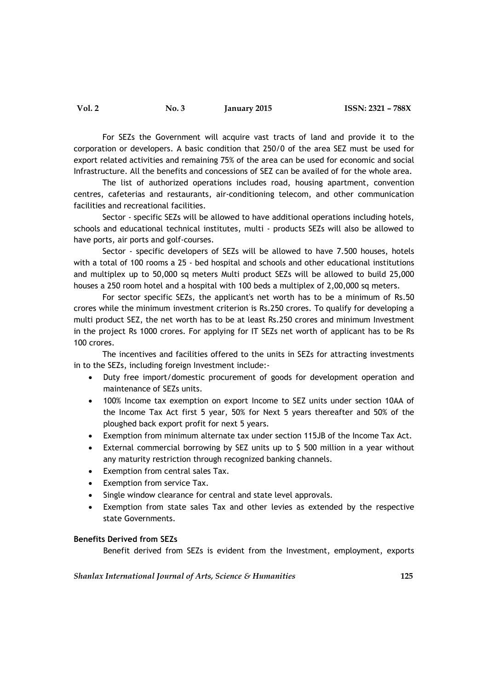For SEZs the Government will acquire vast tracts of land and provide it to the corporation or developers. A basic condition that 250/0 of the area SEZ must be used for export related activities and remaining 75% of the area can be used for economic and social Infrastructure. All the benefits and concessions of SEZ can be availed of for the whole area.

The list of authorized operations includes road, housing apartment, convention centres, cafeterias and restaurants, air-conditioning telecom, and other communication facilities and recreational facilities.

Sector - specific SEZs will be allowed to have additional operations including hotels, schools and educational technical institutes, multi - products SEZs will also be allowed to have ports, air ports and golf-courses.

Sector - specific developers of SEZs will be allowed to have 7.500 houses, hotels with a total of 100 rooms a 25 - bed hospital and schools and other educational institutions and multiplex up to 50,000 sq meters Multi product SEZs will be allowed to build 25,000 houses a 250 room hotel and a hospital with 100 beds a multiplex of 2,00,000 sq meters.

For sector specific SEZs, the applicant's net worth has to be a minimum of Rs.50 crores while the minimum investment criterion is Rs.250 crores. To qualify for developing a multi product SEZ, the net worth has to be at least Rs.250 crores and minimum Investment in the project Rs 1000 crores. For applying for IT SEZs net worth of applicant has to be Rs 100 crores.

The incentives and facilities offered to the units in SEZs for attracting investments in to the SEZs, including foreign Investment include:-

- Duty free import/domestic procurement of goods for development operation and maintenance of SEZs units.
- 100% Income tax exemption on export Income to SEZ units under section 10AA of the Income Tax Act first 5 year, 50% for Next 5 years thereafter and 50% of the ploughed back export profit for next 5 years.
- Exemption from minimum alternate tax under section 115JB of the Income Tax Act.
- External commercial borrowing by SEZ units up to \$ 500 million in a year without any maturity restriction through recognized banking channels.
- Exemption from central sales Tax.
- Exemption from service Tax.
- Single window clearance for central and state level approvals.
- Exemption from state sales Tax and other levies as extended by the respective state Governments.

### **Benefits Derived from SEZs**

Benefit derived from SEZs is evident from the Investment, employment, exports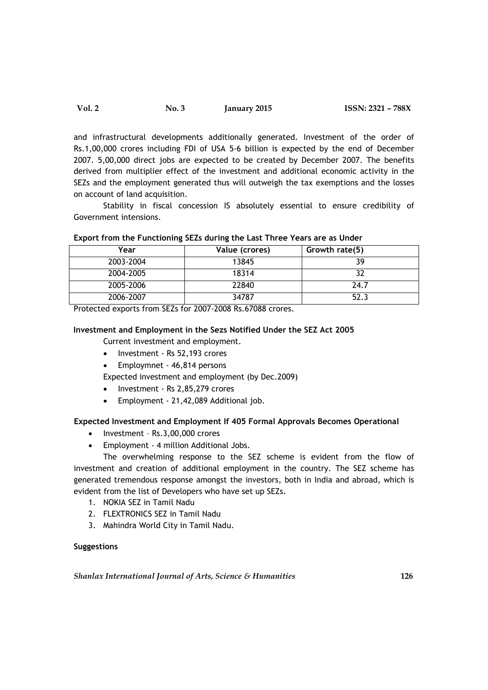| ISSN: 2321 - 788X<br><b>Vol. 2</b><br><b>January 2015</b><br>No. 3 |  |
|--------------------------------------------------------------------|--|
|--------------------------------------------------------------------|--|

and infrastructural developments additionally generated. Investment of the order of Rs.1,00,000 crores including FDI of USA 5-6 billion is expected by the end of December 2007. 5,00,000 direct jobs are expected to be created by December 2007. The benefits derived from multiplier effect of the investment and additional economic activity in the SEZs and the employment generated thus will outweigh the tax exemptions and the losses on account of land acquisition.

Stability in fiscal concession IS absolutely essential to ensure credibility of Government intensions.

| Year      | Value (crores) | Growth rate(5) |
|-----------|----------------|----------------|
| 2003-2004 | 13845          | 39             |
| 2004-2005 | 18314          | 32             |
| 2005-2006 | 22840          | 24.7           |
| 2006-2007 | 34787          | 52.3           |

# **Export from the Functioning SEZs during the Last Three Years are as Under**

Protected exports from SEZs for 2007-2008 Rs.67088 crores.

# **Investment and Employment in the Sezs Notified Under the SEZ Act 2005**

Current investment and employment.

- Investment Rs 52,193 crores
- Employmnet 46,814 persons

Expected investment and employment (by Dec.2009)

- Investment Rs 2,85,279 crores
- Employment 21,42,089 Additional job.

## **Expected Investment and Employment If 405 Formal Approvals Becomes Operational**

- Investment Rs.3,00,000 crores
- Employment 4 million Additional Jobs.

The overwhelming response to the SEZ scheme is evident from the flow of investment and creation of additional employment in the country. The SEZ scheme has generated tremendous response amongst the investors, both in India and abroad, which is evident from the list of Developers who have set up SEZs.

- 1. NOKIA SEZ in Tamil Nadu
- 2. FLEXTRONICS SEZ in Tamil Nadu
- 3. Mahindra World City in Tamil Nadu.

# **Suggestions**